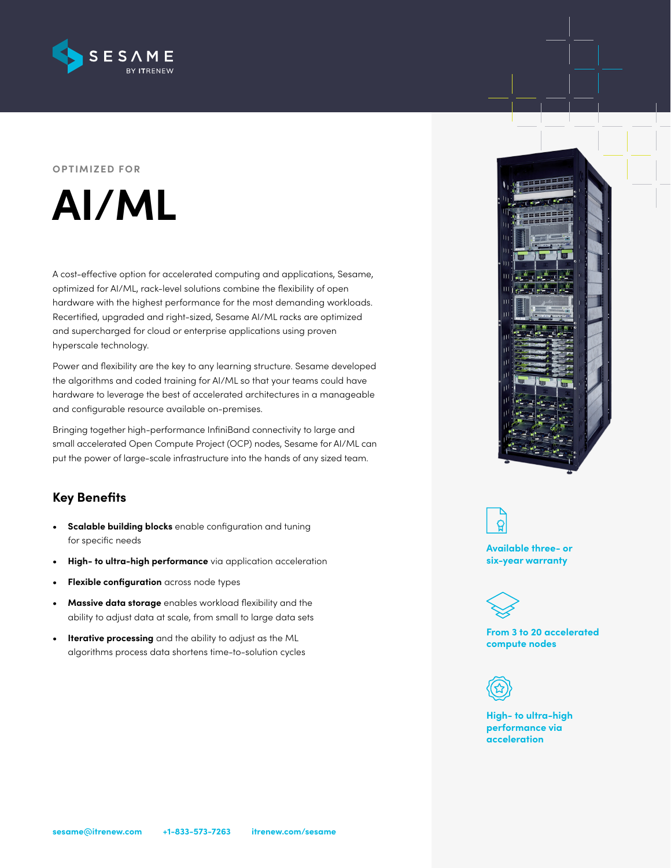

#### **OPTIMIZED FOR**



A cost-effective option for accelerated computing and applications, Sesame, optimized for AI/ML, rack-level solutions combine the flexibility of open hardware with the highest performance for the most demanding workloads. Recertified, upgraded and right-sized, Sesame AI/ML racks are optimized and supercharged for cloud or enterprise applications using proven hyperscale technology.

Power and flexibility are the key to any learning structure. Sesame developed the algorithms and coded training for AI/ML so that your teams could have hardware to leverage the best of accelerated architectures in a manageable and configurable resource available on-premises.

Bringing together high-performance InfiniBand connectivity to large and small accelerated Open Compute Project (OCP) nodes, Sesame for AI/ML can put the power of large-scale infrastructure into the hands of any sized team.

# **Key Benefits**

- **• Scalable building blocks** enable configuration and tuning for specific needs
- **• High- to ultra-high performance** via application acceleration
- **• Flexible configuration** across node types
- **• Massive data storage** enables workload flexibility and the ability to adjust data at scale, from small to large data sets
- **• Iterative processing** and the ability to adjust as the ML algorithms process data shortens time-to-solution cycles





**Available three- or six-year warranty**



**From 3 to 20 accelerated compute nodes**



**High- to ultra-high performance via acceleration**